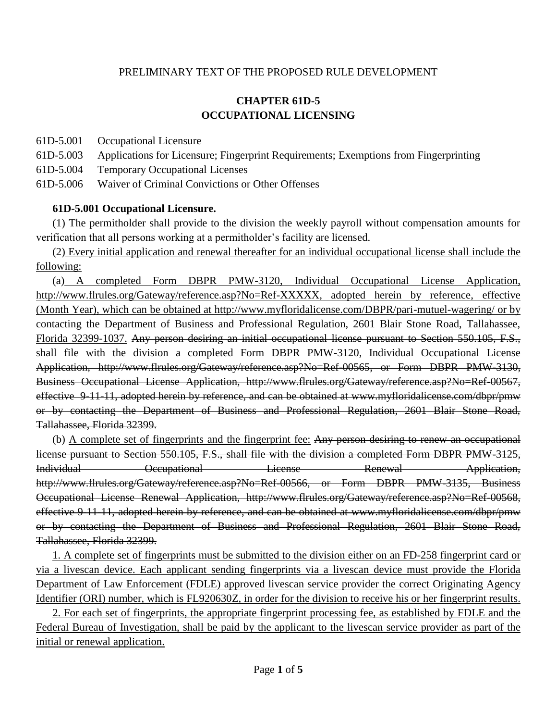#### PRELIMINARY TEXT OF THE PROPOSED RULE DEVELOPMENT

## **CHAPTER 61D-5 OCCUPATIONAL LICENSING**

- 61D-5.001 Occupational Licensure
- 61D-5.003 Applications for Licensure; Fingerprint Requirements; Exemptions from Fingerprinting
- 61D-5.004 Temporary Occupational Licenses
- 61D-5.006 Waiver of Criminal Convictions or Other Offenses

#### **61D-5.001 Occupational Licensure.**

(1) The permitholder shall provide to the division the weekly payroll without compensation amounts for verification that all persons working at a permitholder's facility are licensed.

(2) Every initial application and renewal thereafter for an individual occupational license shall include the following:

(a) A completed Form DBPR PMW-3120, Individual Occupational License Application, [http://www.flrules.org/Gateway/reference.asp?No=Ref-XXXXX,](http://www.flrules.org/Gateway/reference.asp?No=Ref-XXXXX) adopted herein by reference, effective (Month Year), which can be obtained at http://www.myfloridalicense.com/DBPR/pari-mutuel-wagering/ or by contacting the Department of Business and Professional Regulation, 2601 Blair Stone Road, Tallahassee, Florida 32399-1037. Any person desiring an initial occupational license pursuant to Section 550.105, F.S., shall file with the division a completed Form DBPR PMW-3120, Individual Occupational License Application, http://www.flrules.org/Gateway/reference.asp?No=Ref-00565, or Form DBPR PMW-3130, Business Occupational License Application, http://www.flrules.org/Gateway/reference.asp?No=Ref-00567, effective 9-11-11, adopted herein by reference, and can be obtained at www.myfloridalicense.com/dbpr/pmw or by contacting the Department of Business and Professional Regulation, 2601 Blair Stone Road, Tallahassee, Florida 32399.

(b) A complete set of fingerprints and the fingerprint fee: Any person desiring to renew an occupational license pursuant to Section 550.105, F.S., shall file with the division a completed Form DBPR PMW-3125, Individual Occupational License Renewal Application, http://www.flrules.org/Gateway/reference.asp?No=Ref-00566, or Form DBPR PMW-3135, Business Occupational License Renewal Application, http://www.flrules.org/Gateway/reference.asp?No=Ref-00568, effective 9-11-11, adopted herein by reference, and can be obtained at www.myfloridalicense.com/dbpr/pmw or by contacting the Department of Business and Professional Regulation, 2601 Blair Stone Road, Tallahassee, Florida 32399.

1. A complete set of fingerprints must be submitted to the division either on an FD-258 fingerprint card or via a livescan device. Each applicant sending fingerprints via a livescan device must provide the Florida Department of Law Enforcement (FDLE) approved livescan service provider the correct Originating Agency Identifier (ORI) number, which is FL920630Z, in order for the division to receive his or her fingerprint results.

2. For each set of fingerprints, the appropriate fingerprint processing fee, as established by FDLE and the Federal Bureau of Investigation, shall be paid by the applicant to the livescan service provider as part of the initial or renewal application.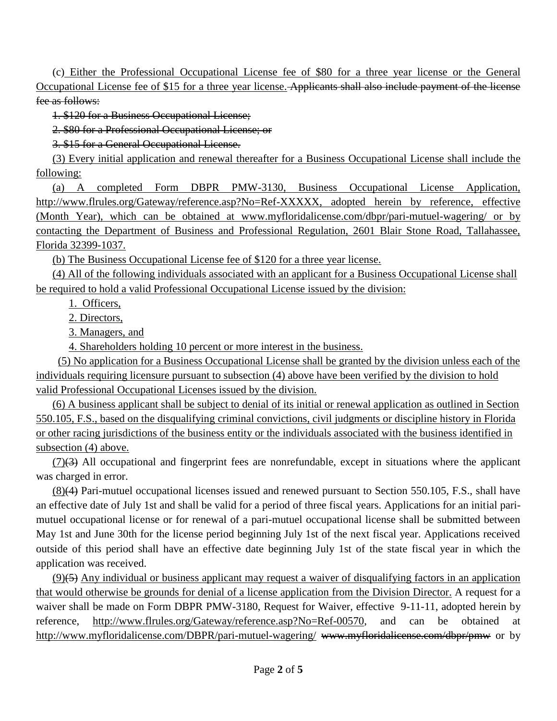(c) Either the Professional Occupational License fee of \$80 for a three year license or the General Occupational License fee of \$15 for a three year license. Applicants shall also include payment of the license fee as follows:

1. \$120 for a Business Occupational License;

2. \$80 for a Professional Occupational License; or

3. \$15 for a General Occupational License.

(3) Every initial application and renewal thereafter for a Business Occupational License shall include the following:

(a) A completed Form DBPR PMW-3130, Business Occupational License Application, http://www.flrules.org/Gateway/reference.asp?No=Ref-XXXXX, adopted herein by reference, effective (Month Year), which can be obtained at www.myfloridalicense.com/dbpr/pari-mutuel-wagering/ or by contacting the Department of Business and Professional Regulation, 2601 Blair Stone Road, Tallahassee, Florida 32399-1037.

(b) The Business Occupational License fee of \$120 for a three year license.

(4) All of the following individuals associated with an applicant for a Business Occupational License shall be required to hold a valid Professional Occupational License issued by the division:

1. Officers,

2. Directors,

3. Managers, and

4. Shareholders holding 10 percent or more interest in the business.

 (5) No application for a Business Occupational License shall be granted by the division unless each of the individuals requiring licensure pursuant to subsection (4) above have been verified by the division to hold valid Professional Occupational Licenses issued by the division.

(6) A business applicant shall be subject to denial of its initial or renewal application as outlined in Section 550.105, F.S., based on the disqualifying criminal convictions, civil judgments or discipline history in Florida or other racing jurisdictions of the business entity or the individuals associated with the business identified in subsection (4) above.

 $(7)(3)$  All occupational and fingerprint fees are nonrefundable, except in situations where the applicant was charged in error.

(8)(4) Pari-mutuel occupational licenses issued and renewed pursuant to Section 550.105, F.S., shall have an effective date of July 1st and shall be valid for a period of three fiscal years. Applications for an initial parimutuel occupational license or for renewal of a pari-mutuel occupational license shall be submitted between May 1st and June 30th for the license period beginning July 1st of the next fiscal year. Applications received outside of this period shall have an effective date beginning July 1st of the state fiscal year in which the application was received.

 $(9)$ (5) Any individual or business applicant may request a waiver of disqualifying factors in an application that would otherwise be grounds for denial of a license application from the Division Director. A request for a waiver shall be made on Form DBPR PMW-3180, Request for Waiver, effective 9-11-11, adopted herein by reference, http://www.flrules.org/Gateway/reference.asp?No=Ref-00570, and can be obtained at http://www.myfloridalicense.com/DBPR/pari-mutuel-wagering/ www.myfloridalicense.com/dbpr/pmw or by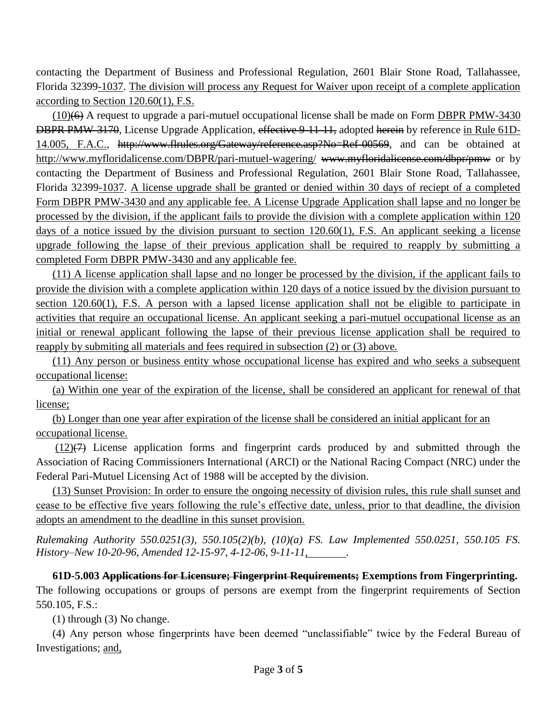contacting the Department of Business and Professional Regulation, 2601 Blair Stone Road, Tallahassee, Florida 32399-1037. The division will process any Request for Waiver upon receipt of a complete application according to Section 120.60(1), F.S.

(10)(6) A request to upgrade a pari-mutuel occupational license shall be made on Form DBPR PMW-3430 DBPR PMW-3170, License Upgrade Application, effective 9-11-11, adopted herein by reference in Rule 61D-14.005, F.A.C., http://www.flrules.org/Gateway/reference.asp?No=Ref-00569, and can be obtained at http://www.myfloridalicense.com/DBPR/pari-mutuel-wagering/ www.myfloridalicense.com/dbpr/pmw or by contacting the Department of Business and Professional Regulation, 2601 Blair Stone Road, Tallahassee, Florida 32399-1037. A license upgrade shall be granted or denied within 30 days of reciept of a completed Form DBPR PMW-3430 and any applicable fee. A License Upgrade Application shall lapse and no longer be processed by the division, if the applicant fails to provide the division with a complete application within 120 days of a notice issued by the division pursuant to section 120.60(1), F.S. An applicant seeking a license upgrade following the lapse of their previous application shall be required to reapply by submitting a completed Form DBPR PMW-3430 and any applicable fee.

(11) A license application shall lapse and no longer be processed by the division, if the applicant fails to provide the division with a complete application within 120 days of a notice issued by the division pursuant to section 120.60(1), F.S. A person with a lapsed license application shall not be eligible to participate in activities that require an occupational license. An applicant seeking a pari-mutuel occupational license as an initial or renewal applicant following the lapse of their previous license application shall be required to reapply by submiting all materials and fees required in subsection (2) or (3) above.

(11) Any person or business entity whose occupational license has expired and who seeks a subsequent occupational license:

(a) Within one year of the expiration of the license, shall be considered an applicant for renewal of that license;

(b) Longer than one year after expiration of the license shall be considered an initial applicant for an occupational license.

 $(12)(7)$  License application forms and fingerprint cards produced by and submitted through the Association of Racing Commissioners International (ARCI) or the National Racing Compact (NRC) under the Federal Pari-Mutuel Licensing Act of 1988 will be accepted by the division.

(13) Sunset Provision: In order to ensure the ongoing necessity of division rules, this rule shall sunset and cease to be effective five years following the rule's effective date, unless, prior to that deadline, the division adopts an amendment to the deadline in this sunset provision.

*Rulemaking Authority 550.0251(3), 550.105(2)(b), (10)(a) FS. Law Implemented 550.0251, 550.105 FS. History–New 10-20-96, Amended 12-15-97, 4-12-06, 9-11-11, .*

**61D-5.003 Applications for Licensure; Fingerprint Requirements; Exemptions from Fingerprinting.** The following occupations or groups of persons are exempt from the fingerprint requirements of Section 550.105, F.S.:

(1) through (3) No change.

(4) Any person whose fingerprints have been deemed "unclassifiable" twice by the Federal Bureau of Investigations; and,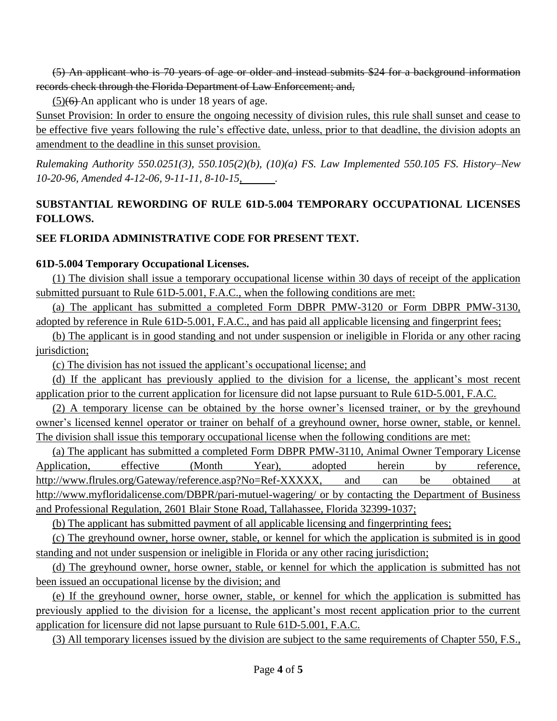(5) An applicant who is 70 years of age or older and instead submits \$24 for a background information records check through the Florida Department of Law Enforcement; and,

 $(5)(6)$ -An applicant who is under 18 years of age.

Sunset Provision: In order to ensure the ongoing necessity of division rules, this rule shall sunset and cease to be effective five years following the rule's effective date, unless, prior to that deadline, the division adopts an amendment to the deadline in this sunset provision.

*Rulemaking Authority 550.0251(3), 550.105(2)(b), (10)(a) FS. Law Implemented 550.105 FS. History–New 10-20-96, Amended 4-12-06, 9-11-11, 8-10-15, .*

# **SUBSTANTIAL REWORDING OF RULE 61D-5.004 TEMPORARY OCCUPATIONAL LICENSES FOLLOWS.**

## **SEE FLORIDA ADMINISTRATIVE CODE FOR PRESENT TEXT.**

### **61D-5.004 Temporary Occupational Licenses.**

(1) The division shall issue a temporary occupational license within 30 days of receipt of the application submitted pursuant to Rule 61D-5.001, F.A.C., when the following conditions are met:

(a) The applicant has submitted a completed Form DBPR PMW-3120 or Form DBPR PMW-3130, adopted by reference in Rule 61D-5.001, F.A.C., and has paid all applicable licensing and fingerprint fees;

(b) The applicant is in good standing and not under suspension or ineligible in Florida or any other racing jurisdiction;

(c) The division has not issued the applicant's occupational license; and

(d) If the applicant has previously applied to the division for a license, the applicant's most recent application prior to the current application for licensure did not lapse pursuant to Rule 61D-5.001, F.A.C.

(2) A temporary license can be obtained by the horse owner's licensed trainer, or by the greyhound owner's licensed kennel operator or trainer on behalf of a greyhound owner, horse owner, stable, or kennel. The division shall issue this temporary occupational license when the following conditions are met:

(a) The applicant has submitted a completed Form DBPR PMW-3110, Animal Owner Temporary License Application, effective (Month Year), adopted herein by reference, http://www.flrules.org/Gateway/reference.asp?No=Ref-XXXXX, and can be obtained at http://www.myfloridalicense.com/DBPR/pari-mutuel-wagering/ or by contacting the Department of Business and Professional Regulation, 2601 Blair Stone Road, Tallahassee, Florida 32399-1037;

(b) The applicant has submitted payment of all applicable licensing and fingerprinting fees;

(c) The greyhound owner, horse owner, stable, or kennel for which the application is submited is in good standing and not under suspension or ineligible in Florida or any other racing jurisdiction;

(d) The greyhound owner, horse owner, stable, or kennel for which the application is submitted has not been issued an occupational license by the division; and

(e) If the greyhound owner, horse owner, stable, or kennel for which the application is submitted has previously applied to the division for a license, the applicant's most recent application prior to the current application for licensure did not lapse pursuant to Rule 61D-5.001, F.A.C.

(3) All temporary licenses issued by the division are subject to the same requirements of Chapter 550, F.S.,